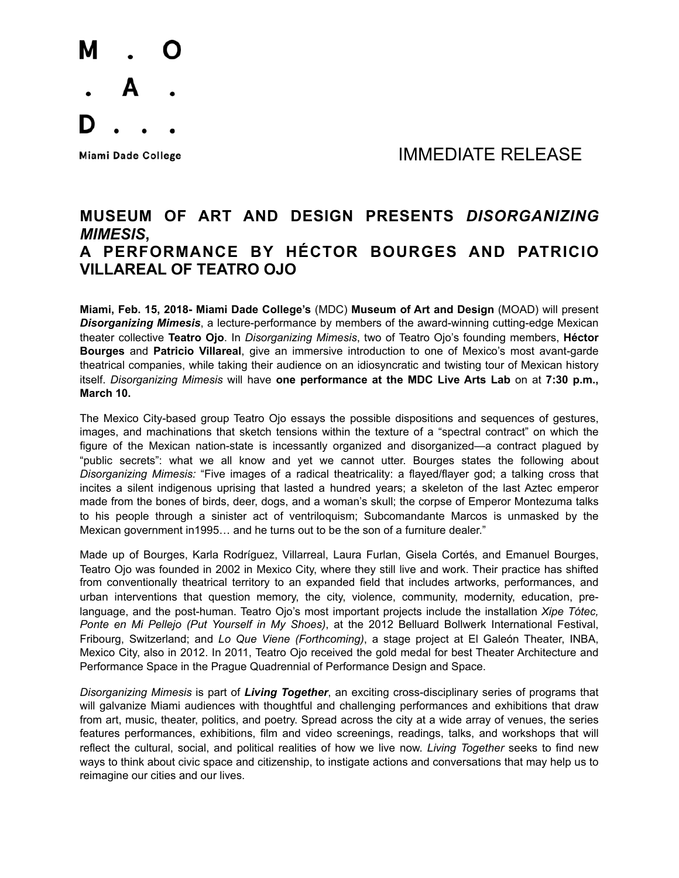

Miami Dade College The College College College The College The College The Museum of the IMMEDIATE RELEASE

## **MUSEUM OF ART AND DESIGN PRESENTS** *DISORGANIZING MIMESIS***, A PERFORMANCE BY HÉCTOR BOURGES AND PATRICIO VILLAREAL OF TEATRO OJO**

**Miami, Feb. 15, 2018- Miami Dade College's** (MDC) **Museum of Art and Design** (MOAD) will present *Disorganizing Mimesis*, a lecture-performance by members of the award-winning cutting-edge Mexican theater collective **Teatro Ojo**. In *Disorganizing Mimesis*, two of Teatro Ojo's founding members, **Héctor Bourges** and **Patricio Villareal**, give an immersive introduction to one of Mexico's most avant-garde theatrical companies, while taking their audience on an idiosyncratic and twisting tour of Mexican history itself. *Disorganizing Mimesis* will have **one performance at the MDC Live Arts Lab** on at **7:30 p.m., March 10.** 

The Mexico City-based group Teatro Ojo essays the possible dispositions and sequences of gestures, images, and machinations that sketch tensions within the texture of a "spectral contract" on which the figure of the Mexican nation-state is incessantly organized and disorganized—a contract plagued by "public secrets": what we all know and yet we cannot utter. Bourges states the following about *Disorganizing Mimesis:* "Five images of a radical theatricality: a flayed/flayer god; a talking cross that incites a silent indigenous uprising that lasted a hundred years; a skeleton of the last Aztec emperor made from the bones of birds, deer, dogs, and a woman's skull; the corpse of Emperor Montezuma talks to his people through a sinister act of ventriloquism; Subcomandante Marcos is unmasked by the Mexican government in1995… and he turns out to be the son of a furniture dealer."

Made up of Bourges, Karla Rodríguez, Villarreal, Laura Furlan, Gisela Cortés, and Emanuel Bourges, Teatro Ojo was founded in 2002 in Mexico City, where they still live and work. Their practice has shifted from conventionally theatrical territory to an expanded field that includes artworks, performances, and urban interventions that question memory, the city, violence, community, modernity, education, prelanguage, and the post-human. Teatro Ojo's most important projects include the installation *Xipe Tótec, Ponte en Mi Pellejo (Put Yourself in My Shoes)*, at the 2012 Belluard Bollwerk International Festival, Fribourg, Switzerland; and *Lo Que Viene (Forthcoming)*, a stage project at El Galeón Theater, INBA, Mexico City, also in 2012. In 2011, Teatro Ojo received the gold medal for best Theater Architecture and Performance Space in the Prague Quadrennial of Performance Design and Space.

*Disorganizing Mimesis* is part of *Living Together*, an exciting cross-disciplinary series of programs that will galvanize Miami audiences with thoughtful and challenging performances and exhibitions that draw from art, music, theater, politics, and poetry. Spread across the city at a wide array of venues, the series features performances, exhibitions, film and video screenings, readings, talks, and workshops that will reflect the cultural, social, and political realities of how we live now. *Living Together* seeks to find new ways to think about civic space and citizenship, to instigate actions and conversations that may help us to reimagine our cities and our lives.